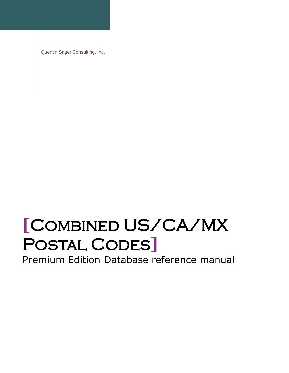Quentin Sager Consulting, Inc.

# **[**Combined US/CA/MX Postal Codes**]**

Premium Edition Database reference manual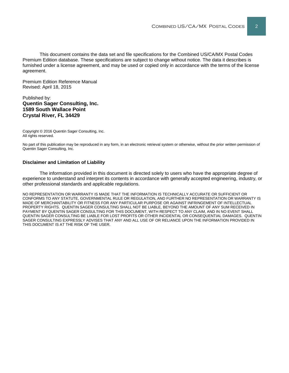This document contains the data set and file specifications for the Combined US/CA/MX Postal Codes Premium Edition database. These specifications are subject to change without notice. The data it describes is furnished under a license agreement, and may be used or copied only in accordance with the terms of the license agreement.

Premium Edition Reference Manual Revised: April 18, 2015

#### Published by: **Quentin Sager Consulting, Inc. 1589 South Wallace Point Crystal River, FL 34429**

Copyright © 2016 Quentin Sager Consulting, Inc. All rights reserved.

No part of this publication may be reproduced in any form, in an electronic retrieval system or otherwise, without the prior written permission of Quentin Sager Consulting, Inc.

#### **Disclaimer and Limitation of Liability**

The information provided in this document is directed solely to users who have the appropriate degree of experience to understand and interpret its contents in accordance with generally accepted engineering, industry, or other professional standards and applicable regulations.

NO REPRESENTATION OR WARRANTY IS MADE THAT THE INFORMATION IS TECHNICALLY ACCURATE OR SUFFICIENT OR CONFORMS TO ANY STATUTE, GOVERNMENTAL RULE OR REGULATION, AND FURTHER NO REPRESENTATION OR WARRANTY IS MADE OF MERCHANTABILITY OR FITNESS FOR ANY PARTICULAR PURPOSE OR AGAINST INFRINGEMENT OF INTELLECTUAL PROPERTY RIGHTS. QUENTIN SAGER CONSULTING SHALL NOT BE LIABLE, BEYOND THE AMOUNT OF ANY SUM RECEIVED IN PAYMENT BY QUENTIN SAGER CONSULTING FOR THIS DOCUMENT, WITH RESPECT TO ANY CLAIM, AND IN NO EVENT SHALL QUENTIN SAGER CONSULTING BE LIABLE FOR LOST PROFITS OR OTHER INCIDENTAL OR CONSEQUENTIAL DAMAGES. QUENTIN SAGER CONSULTING EXPRESSLY ADVISES THAT ANY AND ALL USE OF OR RELIANCE UPON THE INFORMATION PROVIDED IN THIS DOCUMENT IS AT THE RISK OF THE USER.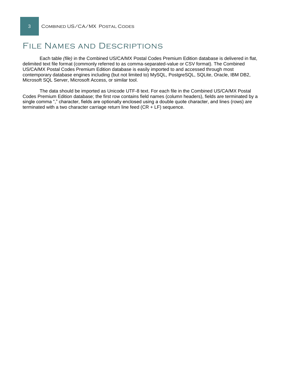## File Names and Descriptions

Each table *(file)* in the Combined US/CA/MX Postal Codes Premium Edition database is delivered in flat, delimited text file format (commonly referred to as comma-separated-value or CSV format). The Combined US/CA/MX Postal Codes Premium Edition database is easily imported to and accessed through most contemporary database engines including (but not limited to) MySQL, PostgreSQL, SQLite, Oracle, IBM DB2, Microsoft SQL Server, Microsoft Access, or similar tool.

The data should be imported as Unicode UTF-8 text. For each file in the Combined US/CA/MX Postal Codes Premium Edition database; the first row contains field names (column headers), fields are terminated by a single comma "," character, fields are optionally enclosed using a double quote character, and lines (rows) are terminated with a two character carriage return line feed (CR + LF) sequence.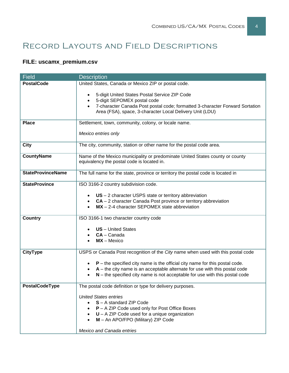# Record Layouts and Field Descriptions

## **FILE: uscamx\_premium.csv**

| <b>Field</b>             | <b>Description</b>                                                                                                                                                                                                                             |  |  |  |  |
|--------------------------|------------------------------------------------------------------------------------------------------------------------------------------------------------------------------------------------------------------------------------------------|--|--|--|--|
| <b>PostalCode</b>        | United States, Canada or Mexico ZIP or postal code.                                                                                                                                                                                            |  |  |  |  |
|                          | 5-digit United States Postal Service ZIP Code<br>5-digit SEPOMEX postal code<br>7-character Canada Post postal code; formatted 3-character Forward Sortation<br>Area (FSA), space, 3-character Local Delivery Unit (LDU)                       |  |  |  |  |
| <b>Place</b>             | Settlement, town, community, colony, or locale name.                                                                                                                                                                                           |  |  |  |  |
|                          | Mexico entries only                                                                                                                                                                                                                            |  |  |  |  |
| <b>City</b>              | The city, community, station or other name for the postal code area.                                                                                                                                                                           |  |  |  |  |
| <b>CountyName</b>        | Name of the Mexico municipality or predominate United States county or county<br>equivalency the postal code is located in.                                                                                                                    |  |  |  |  |
| <b>StateProvinceName</b> | The full name for the state, province or territory the postal code is located in                                                                                                                                                               |  |  |  |  |
| <b>StateProvince</b>     | ISO 3166-2 country subdivision code.<br>US - 2 character USPS state or territory abbreviation<br>CA - 2 character Canada Post province or territory abbreviation<br>MX-2-4 character SEPOMEX state abbreviation                                |  |  |  |  |
| <b>Country</b>           | ISO 3166-1 two character country code<br><b>US</b> - United States<br>$CA - Canada$<br>$MX - Mexico$                                                                                                                                           |  |  |  |  |
| <b>CityType</b>          | USPS or Canada Post recognition of the City name when used with this postal code                                                                                                                                                               |  |  |  |  |
|                          | $P$ – the specified city name is the official city name for this postal code.<br>$A$ – the city name is an acceptable alternate for use with this postal code<br>$N$ – the specified city name is not acceptable for use with this postal code |  |  |  |  |
| PostalCodeType           | The postal code definition or type for delivery purposes.                                                                                                                                                                                      |  |  |  |  |
|                          | <b>United States entries</b><br><b>S</b> – A standard ZIP Code<br>$P - A$ ZIP Code used only for Post Office Boxes<br>$U - A ZIP$ Code used for a unique organization<br>M - An APO/FPO (Military) ZIP Code<br>Mexico and Canada entries       |  |  |  |  |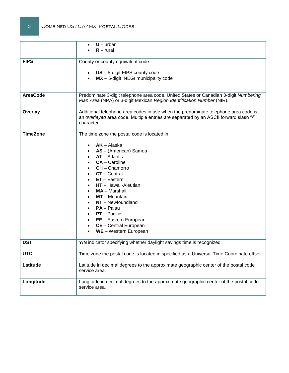|                 | $U - urban$<br>$R$ – rural                                                                                                                                                                                                                                                                                                                                                                       |
|-----------------|--------------------------------------------------------------------------------------------------------------------------------------------------------------------------------------------------------------------------------------------------------------------------------------------------------------------------------------------------------------------------------------------------|
| <b>FIPS</b>     | County or county equivalent code.<br>US - 5-digit FIPS county code<br>MX - 5-digit INEGI municipality code                                                                                                                                                                                                                                                                                       |
| <b>AreaCode</b> | Predominate 3-digit telephone area code. United States or Canadian 3-digit Numbering<br>Plan Area (NPA) or 3-digit Mexican Region Identification Number (NIR).                                                                                                                                                                                                                                   |
| <b>Overlay</b>  | Additional telephone area codes in use when the predominate telephone area code is<br>an overlayed area code. Multiple entries are separated by an ASCII forward slash "I"<br>character.                                                                                                                                                                                                         |
| <b>TimeZone</b> | The time zone the postal code is located in.<br>$AK - Alaska$<br>AS - (American) Samoa<br>$AT - Atlantic$<br>$CA - Caroline$<br>CH - Chamorro<br>$CT - Central$<br>$ET - Eastern$<br>HT - Hawaii-Aleutian<br><b>MA</b> – Marshall<br><b>MT</b> – Mountain<br>NT - Newfoundland<br><b>PA</b> – Palau<br>$PT - Pacific$<br>EE - Eastern European<br>CE - Central European<br>WE - Western European |
| <b>DST</b>      | Y/N indicator specifying whether daylight savings time is recognized                                                                                                                                                                                                                                                                                                                             |
| <b>UTC</b>      | Time zone the postal code is located in specified as a Universal Time Coordinate offset                                                                                                                                                                                                                                                                                                          |
| Latitude        | Latitude in decimal degrees to the approximate geographic center of the postal code<br>service area.                                                                                                                                                                                                                                                                                             |
| Longitude       | Longitude in decimal degrees to the approximate geographic center of the postal code<br>service area.                                                                                                                                                                                                                                                                                            |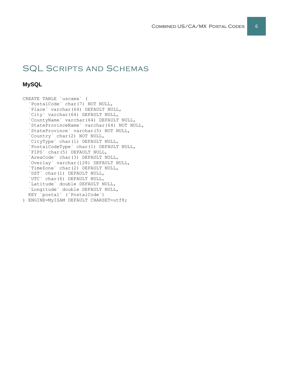# SQL Scripts and Schemas

### **MySQL**

CREATE TABLE `uscamx` ( `PostalCode` char(7) NOT NULL, `Place` varchar(64) DEFAULT NULL, `City` varchar(64) DEFAULT NULL, `CountyName` varchar(64) DEFAULT NULL, `StateProvinceName` varchar(64) NOT NULL, `StateProvince` varchar(5) NOT NULL, `Country` char(2) NOT NULL, `CityType` char(1) DEFAULT NULL, `PostalCodeType` char(1) DEFAULT NULL, `FIPS` char(5) DEFAULT NULL, `AreaCode` char(3) DEFAULT NULL, `Overlay` varchar(128) DEFAULT NULL, `TimeZone` char(2) DEFAULT NULL, `DST` char(1) DEFAULT NULL, `UTC` char(6) DEFAULT NULL, `Latitude` double DEFAULT NULL, `Longitude` double DEFAULT NULL, KEY `postal` (`PostalCode`) ) ENGINE=MyISAM DEFAULT CHARSET=utf8;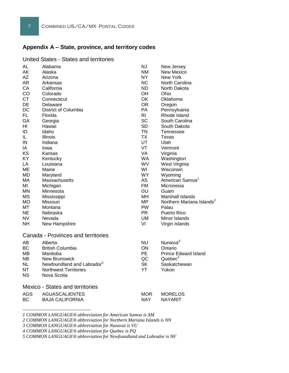## **Appendix A – State, province, and territory codes**

#### United States - States and territories

| AL<br>AΚ<br>AΖ<br>AR<br>CA<br>CO<br><b>CT</b><br>DE<br>DC<br><b>FL</b><br>GА | Alabama<br>Alaska<br>Arizona<br>Arkansas<br>California<br>Colorado<br>Connecticut<br>Delaware<br>District of Columbia<br>Florida<br>Georgia | <b>NJ</b><br><b>NM</b><br><b>NY</b><br><b>NC</b><br><b>ND</b><br>OH.<br>OK<br><b>OR</b><br>PA<br>R <sub>l</sub><br><b>SC</b> | New Jersey<br><b>New Mexico</b><br>New York<br>North Carolina<br>North Dakota<br>Ohio<br>Oklahoma<br>Oregon<br>Pennsylvania<br>Rhode Island<br>South Carolina |  |  |
|------------------------------------------------------------------------------|---------------------------------------------------------------------------------------------------------------------------------------------|------------------------------------------------------------------------------------------------------------------------------|---------------------------------------------------------------------------------------------------------------------------------------------------------------|--|--|
| HI                                                                           | Hawaii                                                                                                                                      | <b>SD</b>                                                                                                                    | South Dakota                                                                                                                                                  |  |  |
| ID                                                                           | Idaho                                                                                                                                       | <b>TN</b>                                                                                                                    | Tennessee                                                                                                                                                     |  |  |
| IL.                                                                          | Illinois                                                                                                                                    | <b>TX</b>                                                                                                                    | Texas                                                                                                                                                         |  |  |
| IN                                                                           | Indiana                                                                                                                                     | UT                                                                                                                           | Utah                                                                                                                                                          |  |  |
| IA                                                                           | lowa                                                                                                                                        | VT<br>VA                                                                                                                     | Vermont                                                                                                                                                       |  |  |
| KS<br>KY                                                                     | Kansas                                                                                                                                      | <b>WA</b>                                                                                                                    | Virginia                                                                                                                                                      |  |  |
| LA                                                                           | Kentucky<br>Louisiana                                                                                                                       | WV                                                                                                                           | Washington<br>West Virginia                                                                                                                                   |  |  |
| ME                                                                           | Maine                                                                                                                                       | WI                                                                                                                           | Wisconsin                                                                                                                                                     |  |  |
| MD                                                                           | Maryland                                                                                                                                    | WY.                                                                                                                          | Wyoming                                                                                                                                                       |  |  |
| MA                                                                           | Massachusetts                                                                                                                               | <b>AS</b>                                                                                                                    | American Samoa <sup>1</sup>                                                                                                                                   |  |  |
| МI                                                                           | Michigan                                                                                                                                    | <b>FM</b>                                                                                                                    | Micronesia                                                                                                                                                    |  |  |
| MN.                                                                          | Minnesota                                                                                                                                   | GU                                                                                                                           | Guam                                                                                                                                                          |  |  |
| <b>MS</b>                                                                    | Mississippi                                                                                                                                 | MH                                                                                                                           | <b>Marshall Islands</b>                                                                                                                                       |  |  |
| <b>MO</b>                                                                    | Missouri                                                                                                                                    | MP                                                                                                                           | Northern Mariana Islands <sup>2</sup>                                                                                                                         |  |  |
| МT                                                                           | Montana                                                                                                                                     | <b>PW</b>                                                                                                                    | Palau                                                                                                                                                         |  |  |
| <b>NE</b>                                                                    | Nebraska                                                                                                                                    | <b>PR</b>                                                                                                                    | <b>Puerto Rico</b>                                                                                                                                            |  |  |
| <b>NV</b>                                                                    | Nevada                                                                                                                                      | UM                                                                                                                           | Minor Islands                                                                                                                                                 |  |  |
| NΗ                                                                           | New Hampshire                                                                                                                               | VI                                                                                                                           | Virgin Islands                                                                                                                                                |  |  |
| Canada - Provinces and territories                                           |                                                                                                                                             |                                                                                                                              |                                                                                                                                                               |  |  |
| AB                                                                           | Alberta                                                                                                                                     | <b>NU</b>                                                                                                                    | Nunavut <sup>3</sup>                                                                                                                                          |  |  |
| <b>BC</b>                                                                    | <b>British Columbia</b>                                                                                                                     | ON                                                                                                                           | Ontario                                                                                                                                                       |  |  |
| ΜВ                                                                           | Manitoba                                                                                                                                    | <b>PE</b>                                                                                                                    | <b>Prince Edward Island</b>                                                                                                                                   |  |  |
| NB.                                                                          | New Brunswick                                                                                                                               | QC                                                                                                                           | Quebec <sup>4</sup>                                                                                                                                           |  |  |
| NL                                                                           | Newfoundland and Labrador <sup>5</sup>                                                                                                      | <b>SK</b>                                                                                                                    | Saskatchewan                                                                                                                                                  |  |  |
| NΤ                                                                           | <b>Northwest Territories</b>                                                                                                                | YT                                                                                                                           | Yukon                                                                                                                                                         |  |  |
| <b>NS</b>                                                                    | Nova Scotia                                                                                                                                 |                                                                                                                              |                                                                                                                                                               |  |  |
| <b>Mexico - States and territories</b>                                       |                                                                                                                                             |                                                                                                                              |                                                                                                                                                               |  |  |
| AGS                                                                          | <b>AGUASCALIENTES</b>                                                                                                                       | <b>MOR</b>                                                                                                                   | <b>MORELOS</b>                                                                                                                                                |  |  |
| <b>BC</b>                                                                    | <b>BAJA CALIFORNIA</b>                                                                                                                      | <b>NAY</b>                                                                                                                   | <b>NAYARIT</b>                                                                                                                                                |  |  |
|                                                                              |                                                                                                                                             |                                                                                                                              |                                                                                                                                                               |  |  |

*1 COMMON LANGUAGE® abbreviation for American Samoa is AM*

*3 COMMON LANGUAGE® abbreviation for Nunavut is VU*

l

*4 COMMON LANGUAGE® abbreviation for Quebec is PQ*

*5 COMMON LANGUAGE® abbreviation for Newfoundland and Labrador is NF*

*<sup>2</sup> COMMON LANGUAGE® abbreviation for Northern Mariana Islands is NN*